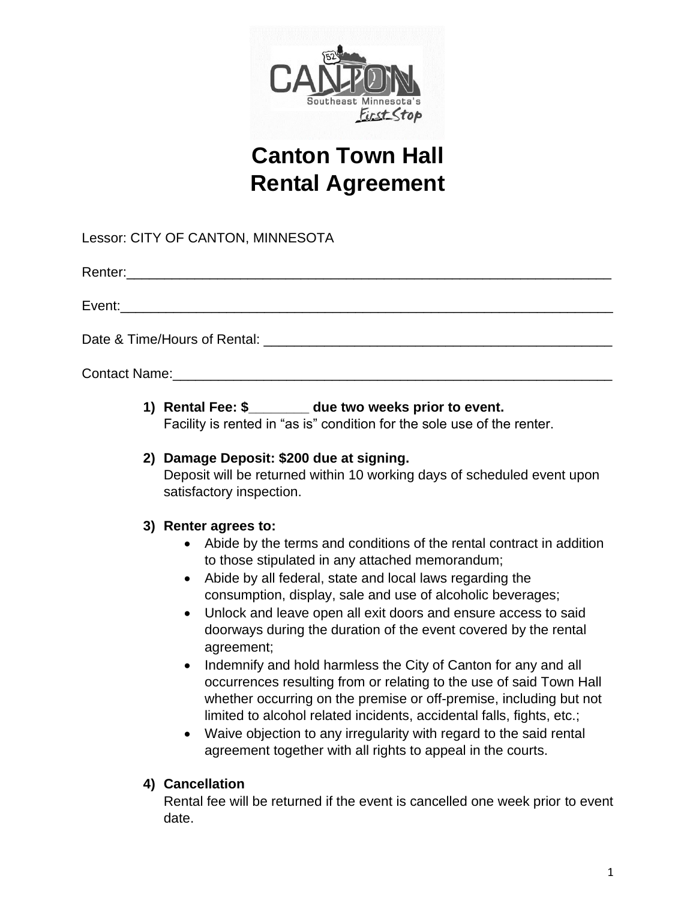

# **Canton Town Hall Rental Agreement**

Lessor: CITY OF CANTON, MINNESOTA

Renter:\_\_\_\_\_\_\_\_\_\_\_\_\_\_\_\_\_\_\_\_\_\_\_\_\_\_\_\_\_\_\_\_\_\_\_\_\_\_\_\_\_\_\_\_\_\_\_\_\_\_\_\_\_\_\_\_\_\_\_\_\_\_\_\_

Event:

Date & Time/Hours of Rental: \_\_\_\_\_\_\_\_\_\_\_\_\_\_\_\_\_\_\_\_\_\_\_\_\_\_\_\_\_\_\_\_\_\_\_\_\_\_\_\_\_\_\_\_\_\_

Contact Name:

**1) Rental Fee: \$\_\_\_\_\_\_\_\_ due two weeks prior to event.** 

Facility is rented in "as is" condition for the sole use of the renter.

## **2) Damage Deposit: \$200 due at signing.**

Deposit will be returned within 10 working days of scheduled event upon satisfactory inspection.

# **3) Renter agrees to:**

- Abide by the terms and conditions of the rental contract in addition to those stipulated in any attached memorandum;
- Abide by all federal, state and local laws regarding the consumption, display, sale and use of alcoholic beverages;
- Unlock and leave open all exit doors and ensure access to said doorways during the duration of the event covered by the rental agreement;
- Indemnify and hold harmless the City of Canton for any and all occurrences resulting from or relating to the use of said Town Hall whether occurring on the premise or off-premise, including but not limited to alcohol related incidents, accidental falls, fights, etc.;
- Waive objection to any irregularity with regard to the said rental agreement together with all rights to appeal in the courts.

# **4) Cancellation**

Rental fee will be returned if the event is cancelled one week prior to event date.